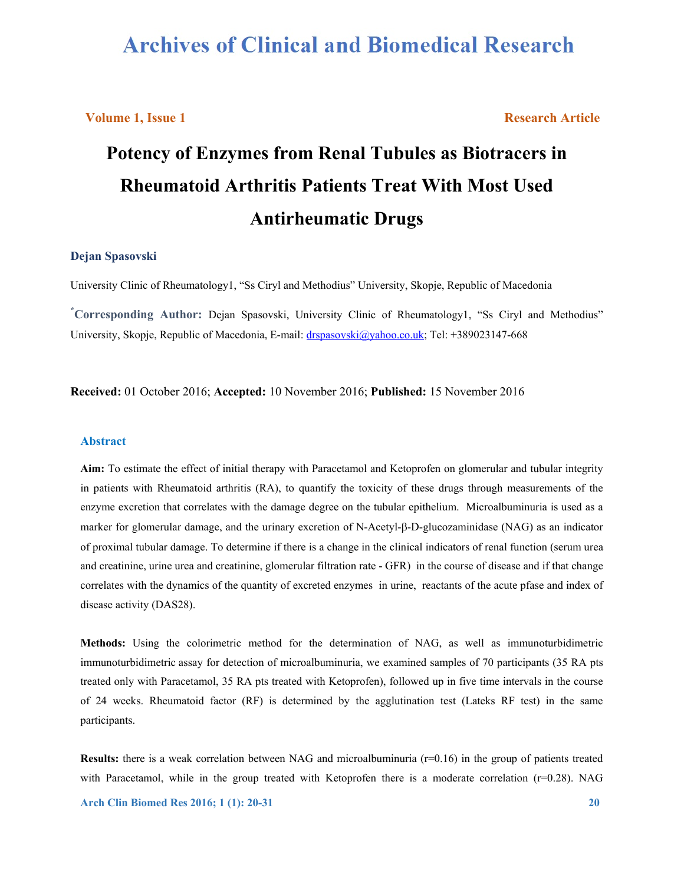# **Archives of Clinical and Biomedical Research**

# **Volume 1, Issue 1 Research Article Research Article**

# **Potency of Enzymes from Renal Tubules as Biotracers in Rheumatoid Arthritis Patients Treat With Most Used Antirheumatic Drugs**

# **Dejan Spasovski**

University Clinic of Rheumatology1, "Ss Ciryl and Methodius" University, Skopje, Republic of Macedonia

**\* Corresponding Author:** Dejan Spasovski, University Clinic of Rheumatology1, "Ss Ciryl and Methodius" University, Skopje, Republic of Macedonia, E-mail: drspasovski@yahoo.co.uk; Tel: +389023147-668

**Received:** 01 October 2016; **Accepted:** 10 November 2016; **Published:** 15 November 2016

#### **Abstract**

**Aim:** To estimate the effect of initial therapy with Paracetamol and Ketoprofen on glomerular and tubular integrity in patients with Rheumatoid arthritis (RA), to quantify the toxicity of these drugs through measurements of the enzyme excretion that correlates with the damage degree on the tubular epithelium. Microalbuminuria is used as a marker for glomerular damage, and the urinary excretion of N-Acetyl- $\beta$ -D-glucozaminidase (NAG) as an indicator of proximal tubular damage. To determine if there is a change in the clinical indicators of renal function (serum urea and creatinine, urine urea and creatinine, glomerular filtration rate - GFR) in the course of disease and if that change correlates with the dynamics of the quantity of excreted enzymes in urine, reactants of the acute pfase and index of disease activity (DAS28).

**Methods:** Using the colorimetric method for the determination of NAG, as well as immunoturbidimetric immunoturbidimetric assay for detection of microalbuminuria, we examined samples of 70 participants (35 RA pts treated only with Paracetamol, 35 RA pts treated with Ketoprofen), followed up in five time intervals in the course of 24 weeks. Rheumatoid factor (RF) is determined by the agglutination test (Lateks RF test) in the same participants.

**Results:** there is a weak correlation between NAG and microalbuminuria (r=0.16) in the group of patients treated with Paracetamol, while in the group treated with Ketoprofen there is a moderate correlation (r=0.28). NAG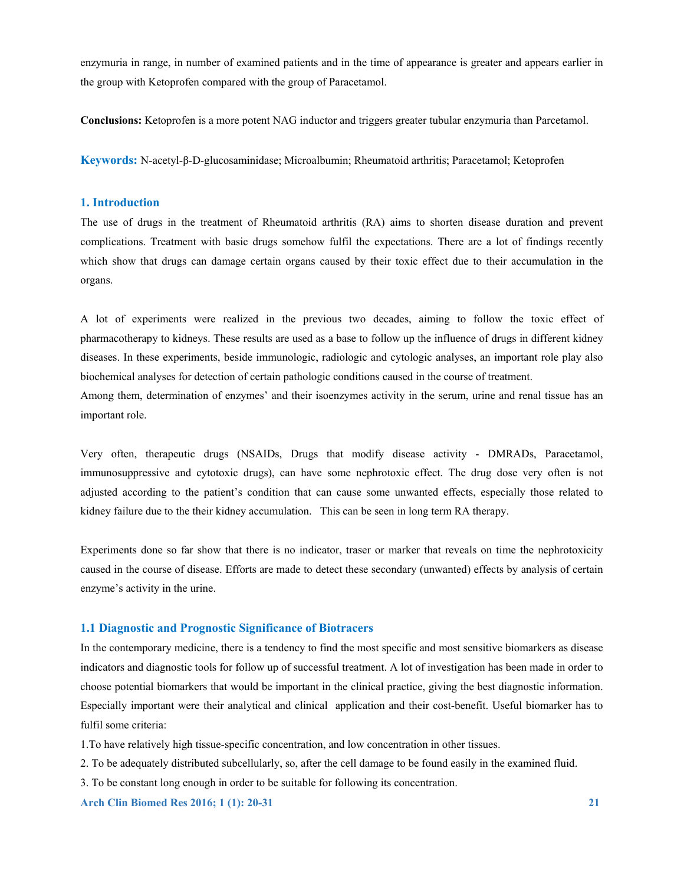enzymuria in range, in number of examined patients and in the time of appearance is greater and appears earlier in the group with Ketoprofen compared with the group of Paracetamol.

**Conclusions:** Ketoprofen is a more potent NAG inductor and triggers greater tubular enzymuria than Parcetamol.

**Keywords:** N-acetyl-β-D-glucosaminidase; Microalbumin; Rheumatoid arthritis; Paracetamol; Ketoprofen

# **1. Introduction**

The use of drugs in the treatment of Rheumatoid arthritis (RA) aims to shorten disease duration and prevent complications. Treatment with basic drugs somehow fulfil the expectations. There are a lot of findings recently which show that drugs can damage certain organs caused by their toxic effect due to their accumulation in the organs.

A lot of experiments were realized in the previous two decades, aiming to follow the toxic effect of pharmacotherapy to kidneys. These results are used as a base to follow up the influence of drugs in different kidney diseases. In these experiments, beside immunologic, radiologic and cytologic analyses, an important role play also biochemical analyses for detection of certain pathologic conditions caused in the course of treatment.

Among them, determination of enzymes' and their isoenzymes activity in the serum, urine and renal tissue has an important role.

Very often, therapeutic drugs (NSAIDs, Drugs that modify disease activity - DMRADs, Paracetamol, immunosuppressive and cytotoxic drugs), can have some nephrotoxic effect. The drug dose very often is not adjusted according to the patient's condition that can cause some unwanted effects, especially those related to kidney failure due to the their kidney accumulation. This can be seen in long term RA therapy.

Experiments done so far show that there is no indicator, traser or marker that reveals on time the nephrotoxicity caused in the course of disease. Efforts are made to detect these secondary (unwanted) effects by analysis of certain enzyme's activity in the urine.

# **1.1 Diagnostic and Prognostic Significance of Biotracers**

In the contemporary medicine, there is a tendency to find the most specific and most sensitive biomarkers as disease indicators and diagnostic tools for follow up of successful treatment. A lot of investigation has been made in order to choose potential biomarkers that would be important in the clinical practice, giving the best diagnostic information. Especially important were their analytical and clinical application and their cost-benefit. Useful biomarker has to fulfil some criteria:

1.To have relatively high tissue-specific concentration, and low concentration in other tissues.

2. To be adequately distributed subcellularly, so, after the cell damage to be found easily in the examined fluid.

3. To be constant long enough in order to be suitable for following its concentration.

**Arch Clin Biomed Res 2016; 1 (1): 20-31 21 22 21 22 21 22 21 22 21 22 21 22 21 22 21 22 21 22 21 22 21 22 21 22 21 22 21 22 21 22 21 22 21 22 21 22 21 22 21 22 21 22 21 22 21 22 21 22 21 22 21 22 21 22 21 22 21 22 21 22 2**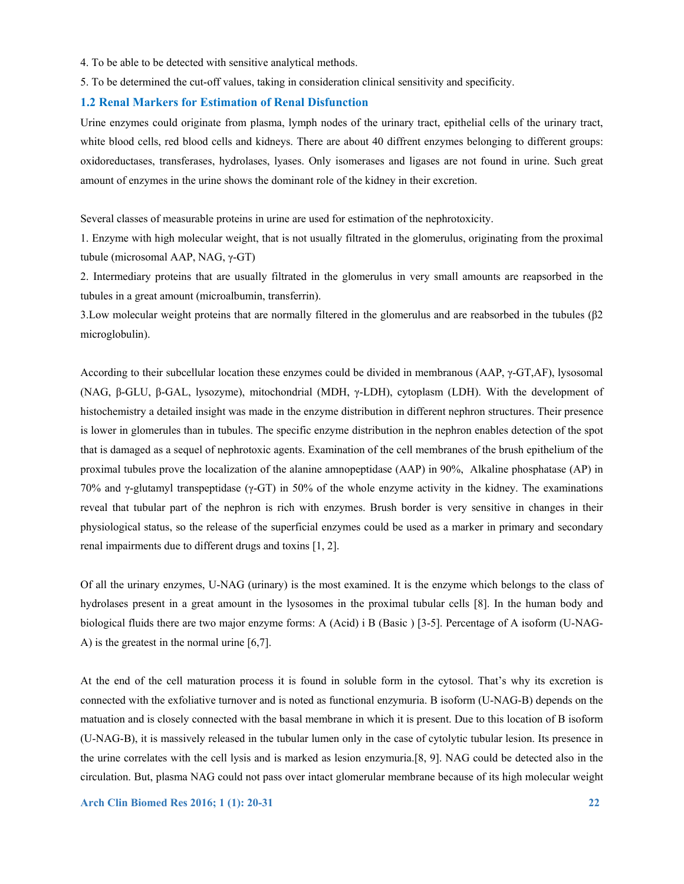- 4. To be able to be detected with sensitive analytical methods.
- 5. To be determined the cut-off values, taking in consideration clinical sensitivity and specificity.

#### **1.2 Renal Markers for Estimation of Renal Disfunction**

Urine enzymes could originate from plasma, lymph nodes of the urinary tract, epithelial cells of the urinary tract, white blood cells, red blood cells and kidneys. There are about 40 diffrent enzymes belonging to different groups: oxidoreductases, transferases, hydrolases, lyases. Only isomerases and ligases are not found in urine. Such great amount of enzymes in the urine shows the dominant role of the kidney in their excretion.

Several classes of measurable proteins in urine are used for estimation of the nephrotoxicity.

1. Enzyme with high molecular weight, that is not usually filtrated in the glomerulus, originating from the proximal tubule (microsomal AAP, NAG, γ-GT)

2. Intermediary proteins that are usually filtrated in the glomerulus in very small amounts are reapsorbed in the tubules in a great amount (microalbumin, transferrin).

3.Low molecular weight proteins that are normally filtered in the glomerulus and are reabsorbed in the tubules (β2 microglobulin).

According to their subcellular location these enzymes could be divided in membranous (AAP, γ-GT,AF), lysosomal (NAG, β-GLU, β-GAL, lysozyme), mitochondrial (MDH, γ-LDH), cytoplasm (LDH). With the development of histochemistry a detailed insight was made in the enzyme distribution in different nephron structures. Their presence is lower in glomerules than in tubules. The specific enzyme distribution in the nephron enables detection of the spot that is damaged as a sequel of nephrotoxic agents. Examination of the cell membranes of the brush epithelium of the proximal tubules prove the localization of the alanine amnopeptidase (AAP) in 90%, Alkaline phosphatase (AP) in 70% and γ-glutamyl transpeptidase (γ-GT) in 50% of the whole enzyme activity in the kidney. The examinations reveal that tubular part of the nephron is rich with enzymes. Brush border is very sensitive in changes in their physiological status, so the release of the superficial enzymes could be used as a marker in primary and secondary renal impairments due to different drugs and toxins [1, 2].

Of all the urinary enzymes, U-NAG (urinary) is the most examined. It is the enzyme which belongs to the class of hydrolases present in a great amount in the lysosomes in the proximal tubular cells [8]. In the human body and biological fluids there are two major enzyme forms: A (Acid) i B (Basic ) [3-5]. Percentage of A isoform (U-NAG-A) is the greatest in the normal urine [6,7].

At the end of the cell maturation process it is found in soluble form in the cytosol. That's why its excretion is connected with the exfoliative turnover and is noted as functional enzymuria. B isoform (U-NAG-B) depends on the matuation and is closely connected with the basal membrane in which it is present. Due to this location of B isoform (U-NAG-B), it is massively released in the tubular lumen only in the case of cytolytic tubular lesion. Its presence in the urine correlates with the cell lysis and is marked as lesion enzymuria.[8, 9]. NAG could be detected also in the circulation. But, plasma NAG could not pass over intact glomerular membrane because of its high molecular weight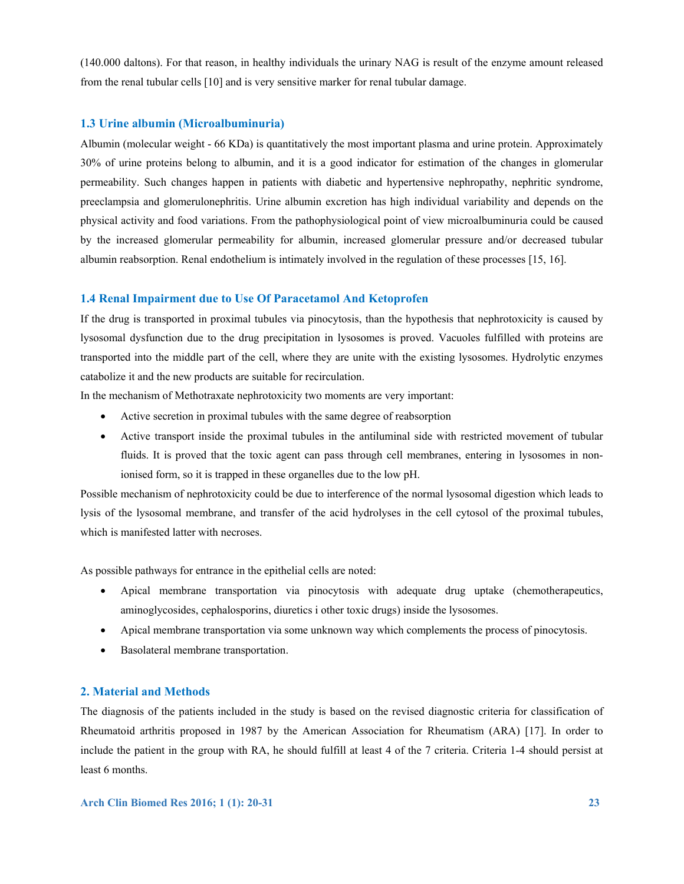(140.000 daltons). For that reason, in healthy individuals the urinary NAG is result of the enzyme amount released from the renal tubular cells [10] and is very sensitive marker for renal tubular damage.

# **1.3 Urine albumin (Microalbuminuria)**

Albumin (molecular weight - 66 KDa) is quantitatively the most important plasma and urine protein. Approximately 30% of urine proteins belong to albumin, and it is a good indicator for estimation of the changes in glomerular permeability. Such changes happen in patients with diabetic and hypertensive nephropathy, nephritic syndrome, preeclampsia and glomerulonephritis. Urine albumin excretion has high individual variability and depends on the physical activity and food variations. From the pathophysiological point of view microalbuminuria could be caused by the increased glomerular permeability for albumin, increased glomerular pressure and/or decreased tubular albumin reabsorption. Renal endothelium is intimately involved in the regulation of these processes [15, 16].

### **1.4 Renal Impairment due to Use Of Paracetamol And Ketoprofen**

If the drug is transported in proximal tubules via pinocytosis, than the hypothesis that nephrotoxicity is caused by lysosomal dysfunction due to the drug precipitation in lysosomes is proved. Vacuoles fulfilled with proteins are transported into the middle part of the cell, where they are unite with the existing lysosomes. Hydrolytic enzymes catabolize it and the new products are suitable for recirculation.

In the mechanism of Methotraxate nephrotoxicity two moments are very important:

- Active secretion in proximal tubules with the same degree of reabsorption
- Active transport inside the proximal tubules in the antiluminal side with restricted movement of tubular fluids. It is proved that the toxic agent can pass through cell membranes, entering in lysosomes in nonionised form, so it is trapped in these organelles due to the low pH.

Possible mechanism of nephrotoxicity could be due to interference of the normal lysosomal digestion which leads to lysis of the lysosomal membrane, and transfer of the acid hydrolyses in the cell cytosol of the proximal tubules, which is manifested latter with necroses.

As possible pathways for entrance in the epithelial cells are noted:

- Apical membrane transportation via pinocytosis with adequate drug uptake (chemotherapeutics, aminoglycosides, cephalosporins, diuretics i other toxic drugs) inside the lysosomes.
- Apical membrane transportation via some unknown way which complements the process of pinocytosis.
- Basolateral membrane transportation.

#### **2. Material and Methods**

The diagnosis of the patients included in the study is based on the revised diagnostic criteria for classification of Rheumatoid arthritis proposed in 1987 by the American Association for Rheumatism (ARA) [17]. In order to include the patient in the group with RA, he should fulfill at least 4 of the 7 criteria. Criteria 1-4 should persist at least 6 months.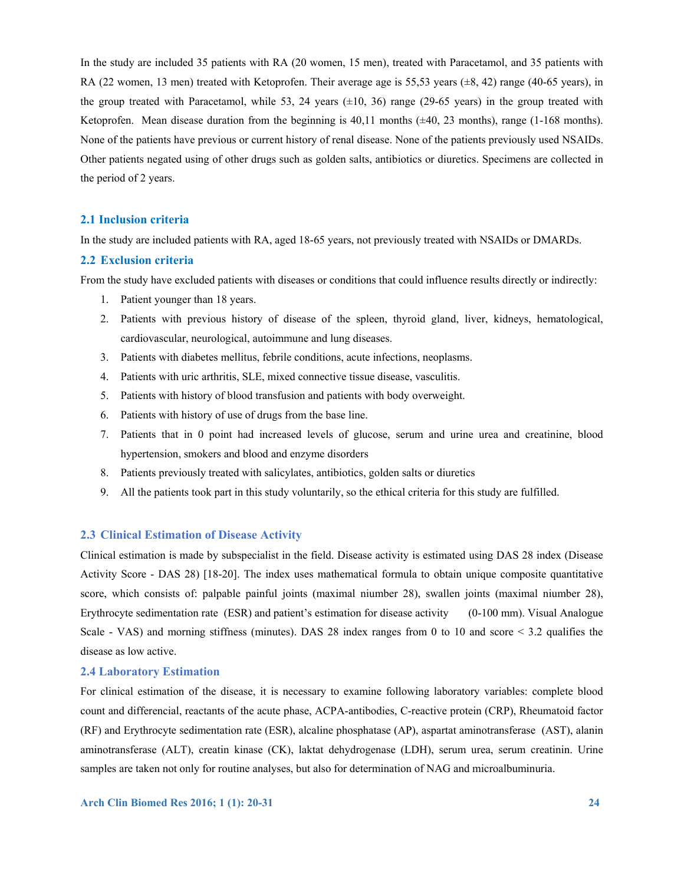In the study are included 35 patients with RA (20 women, 15 men), treated with Paracetamol, and 35 patients with RA (22 women, 13 men) treated with Ketoprofen. Their average age is 55.53 years ( $\pm 8$ , 42) range (40-65 years), in the group treated with Paracetamol, while 53, 24 years  $(\pm 10, 36)$  range (29-65 years) in the group treated with Ketoprofen. Mean disease duration from the beginning is  $40.11$  months ( $\pm 40$ , 23 months), range (1-168 months). None of the patients have previous or current history of renal disease. None of the patients previously used NSAIDs. Other patients negated using of other drugs such as golden salts, antibiotics or diuretics. Specimens are collected in the period of 2 years.

# **2.1 Inclusion criteria**

In the study are included patients with RA, aged 18-65 years, not previously treated with NSAIDs or DMARDs.

# **2.2 Exclusion criteria**

From the study have excluded patients with diseases or conditions that could influence results directly or indirectly:

- 1. Patient younger than 18 years.
- 2. Patients with previous history of disease of the spleen, thyroid gland, liver, kidneys, hematological, cardiovascular, neurological, autoimmune and lung diseases.
- 3. Patients with diabetes mellitus, febrile conditions, acute infections, neoplasms.
- 4. Patients with uric arthritis, SLE, mixed connective tissue disease, vasculitis.
- 5. Patients with history of blood transfusion and patients with body overweight.
- 6. Patients with history of use of drugs from the base line.
- 7. Patients that in 0 point had increased levels of glucose, serum and urine urea and creatinine, blood hypertension, smokers and blood and enzyme disorders
- 8. Patients previously treated with salicylates, antibiotics, golden salts or diuretics
- 9. All the patients took part in this study voluntarily, so the ethical criteria for this study are fulfilled.

# **2.3 Clinical Estimation of Disease Activity**

Clinical estimation is made by subspecialist in the field. Disease activity is estimated using DAS 28 index (Disease Activity Score - DAS 28) [18-20]. The index uses mathematical formula to obtain unique composite quantitative score, which consists of: palpable painful joints (maximal niumber 28), swallen joints (maximal niumber 28), Erythrocyte sedimentation rate (ESR) and patient's estimation for disease activity (0-100 mm). Visual Analogue Scale - VAS) and morning stiffness (minutes). DAS 28 index ranges from 0 to 10 and score  $\leq$  3.2 qualifies the disease as low active.

#### **2.4 Laboratory Estimation**

For clinical estimation of the disease, it is necessary to examine following laboratory variables: complete blood count and differencial, reactants of the acute phase, ACPA-antibodies, C-reactive protein (CRP), Rheumatoid factor (RF) and Erythrocyte sedimentation rate (ESR), alcaline phosphatase (AP), aspartat aminotransferase (AST), alanin aminotransferase (ALT), creatin kinase (CK), laktat dehydrogenase (LDH), serum urea, serum creatinin. Urine samples are taken not only for routine analyses, but also for determination of NAG and microalbuminuria.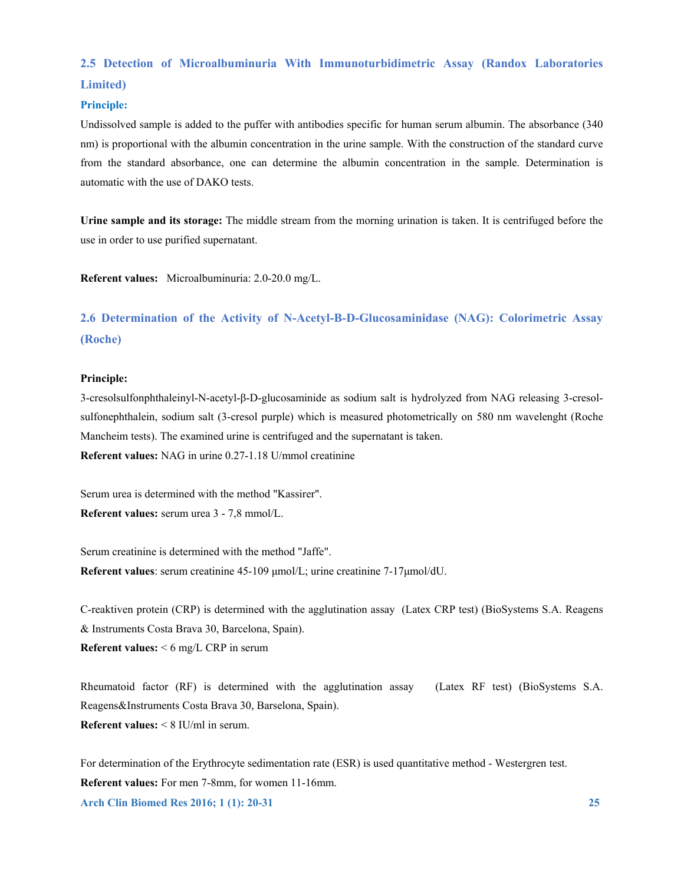# **2.5 Detection of Microalbuminuria With Immunoturbidimetric Assay (Randox Laboratories Limited)**

# **Principle:**

Undissolved sample is added to the puffer with antibodies specific for human serum albumin. The absorbance (340 nm) is proportional with the albumin concentration in the urine sample. With the construction of the standard curve from the standard absorbance, one can determine the albumin concentration in the sample. Determination is automatic with the use of DAKO tests.

**Urine sample and its storage:** The middle stream from the morning urination is taken. It is centrifuged before the use in order to use purified supernatant.

**Referent values:** Microalbuminuria: 2.0-20.0 mg/L.

# **2.6 Determination of the Activity of N-Acetyl-Β-D-Glucosaminidase (NAG): Colorimetric Assay (Roche)**

#### **Principle:**

3-cresolsulfonphthaleinyl-N-acetyl-β-D-glucosaminide as sodium salt is hydrolyzed from NAG releasing 3-cresolsulfonephthalein, sodium salt (3-cresol purple) which is measured photometrically on 580 nm wavelenght (Roche Mancheim tests). The examined urine is centrifuged and the supernatant is taken. **Referent values:** NAG in urine 0.27-1.18 U/mmol creatinine

Serum urea is determined with the method "Kassirer". **Referent values:** serum urea 3 - 7,8 mmol/L.

Serum creatinine is determined with the method "Jaffe". **Referent values**: serum creatinine 45-109 μmol/L; urine creatinine 7-17μmol/dU.

C-reaktiven protein (CRP) is determined with the agglutination assay (Latex CRP test) (BioSystems S.A. Reagens & Instruments Costa Brava 30, Barcelona, Spain). **Referent values:** < 6 mg/L CRP in serum

Rheumatoid factor (RF) is determined with the agglutination assay (Latex RF test) (BioSystems S.A. Reagens&Instruments Costa Brava 30, Barselona, Spain). **Referent values:** < 8 IU/ml in serum.

**Arch Clin Biomed Res 2016; 1 (1): 20-31 25**  For determination of the Erythrocyte sedimentation rate (ESR) is used quantitative method - Westergren test. **Referent values:** For men 7-8mm, for women 11-16mm.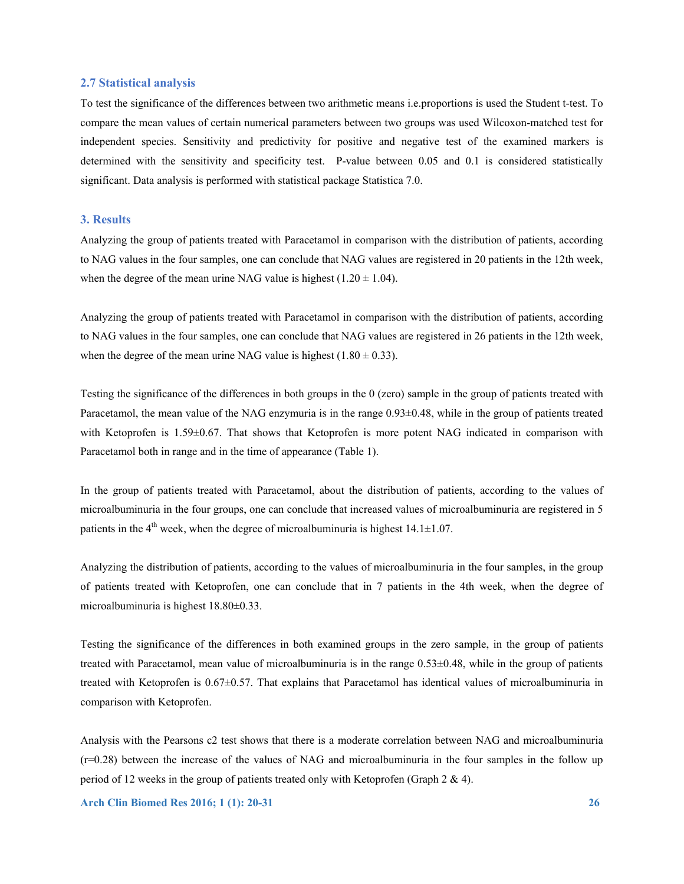# **2.7 Statistical analysis**

To test the significance of the differences between two arithmetic means i.e.proportions is used the Student t-test. To compare the mean values of certain numerical parameters between two groups was used Wilcoxon-matched test for independent species. Sensitivity and predictivity for positive and negative test of the examined markers is determined with the sensitivity and specificity test. P-value between 0.05 and 0.1 is considered statistically significant. Data analysis is performed with statistical package Statistica 7.0.

# **3. Results**

Analyzing the group of patients treated with Paracetamol in comparison with the distribution of patients, according to NAG values in the four samples, one can conclude that NAG values are registered in 20 patients in the 12th week, when the degree of the mean urine NAG value is highest  $(1.20 \pm 1.04)$ .

Analyzing the group of patients treated with Paracetamol in comparison with the distribution of patients, according to NAG values in the four samples, one can conclude that NAG values are registered in 26 patients in the 12th week, when the degree of the mean urine NAG value is highest  $(1.80 \pm 0.33)$ .

Testing the significance of the differences in both groups in the 0 (zero) sample in the group of patients treated with Paracetamol, the mean value of the NAG enzymuria is in the range 0.93±0.48, while in the group of patients treated with Ketoprofen is 1.59±0.67. That shows that Ketoprofen is more potent NAG indicated in comparison with Paracetamol both in range and in the time of appearance (Table 1).

In the group of patients treated with Paracetamol, about the distribution of patients, according to the values of microalbuminuria in the four groups, one can conclude that increased values of microalbuminuria are registered in 5 patients in the  $4<sup>th</sup>$  week, when the degree of microalbuminuria is highest  $14.1 \pm 1.07$ .

Analyzing the distribution of patients, according to the values of microalbuminuria in the four samples, in the group of patients treated with Ketoprofen, one can conclude that in 7 patients in the 4th week, when the degree of microalbuminuria is highest 18.80±0.33.

Testing the significance of the differences in both examined groups in the zero sample, in the group of patients treated with Paracetamol, mean value of microalbuminuria is in the range 0.53±0.48, while in the group of patients treated with Ketoprofen is 0.67±0.57. That explains that Paracetamol has identical values of microalbuminuria in comparison with Ketoprofen.

Analysis with the Pearsons c2 test shows that there is a moderate correlation between NAG and microalbuminuria  $(r=0.28)$  between the increase of the values of NAG and microalbuminuria in the four samples in the follow up period of 12 weeks in the group of patients treated only with Ketoprofen (Graph 2 & 4).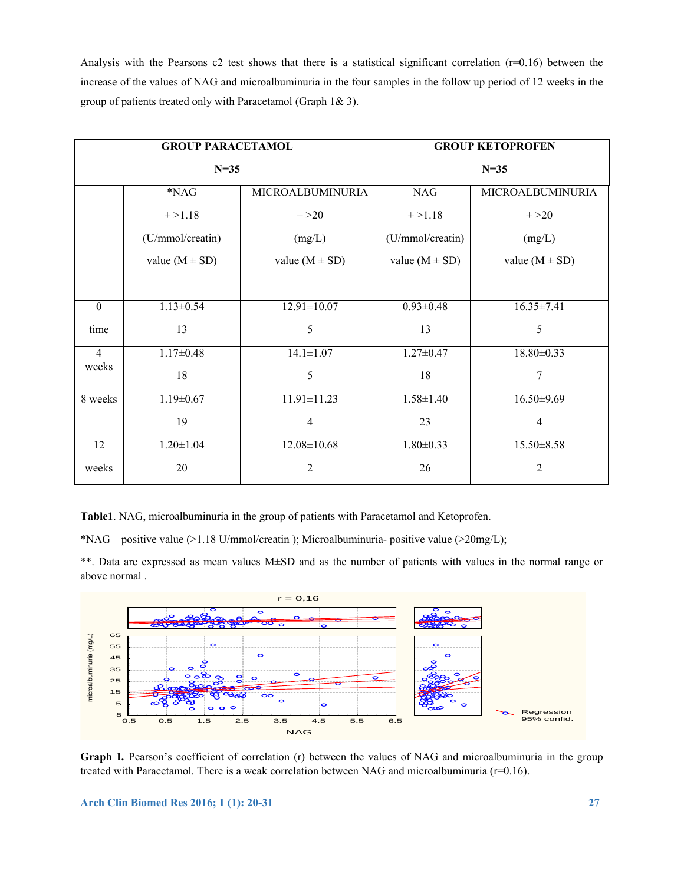Analysis with the Pearsons  $c2$  test shows that there is a statistical significant correlation ( $r=0.16$ ) between the increase of the values of NAG and microalbuminuria in the four samples in the follow up period of 12 weeks in the group of patients treated only with Paracetamol (Graph 1& 3).

| <b>GROUP PARACETAMOL</b> |                    |                    | <b>GROUP KETOPROFEN</b> |                    |
|--------------------------|--------------------|--------------------|-------------------------|--------------------|
| $N=35$                   |                    |                    | $N=35$                  |                    |
|                          | *NAG               | MICROALBUMINURIA   | <b>NAG</b>              | MICROALBUMINURIA   |
|                          | $+ > 1.18$         | $+ >20$            | $+ > 1.18$              | $+ >20$            |
|                          | (U/mmol/creatin)   | (mg/L)             | (U/mmol/creatin)        | (mg/L)             |
|                          | value $(M \pm SD)$ | value $(M \pm SD)$ | value $(M \pm SD)$      | value $(M \pm SD)$ |
|                          |                    |                    |                         |                    |
| $\boldsymbol{0}$         | $1.13 \pm 0.54$    | $12.91 \pm 10.07$  | $0.93 \pm 0.48$         | $16.35 \pm 7.41$   |
| time                     | 13                 | 5                  | 13                      | 5                  |
| $\overline{4}$           | $1.17 \pm 0.48$    | $14.1 \pm 1.07$    | $1.27 \pm 0.47$         | 18.80±0.33         |
| weeks                    | 18                 | 5                  | 18                      | 7                  |
| 8 weeks                  | $1.19 \pm 0.67$    | $11.91 \pm 11.23$  | $1.58 \pm 1.40$         | $16.50 \pm 9.69$   |
|                          | 19                 | $\overline{4}$     | 23                      | $\overline{4}$     |
| 12                       | $1.20 \pm 1.04$    | $12.08 \pm 10.68$  | $1.80 \pm 0.33$         | $15.50 \pm 8.58$   |
| weeks                    | 20                 | $\overline{2}$     | 26                      | $\overline{2}$     |

**Table1**. NAG, microalbuminuria in the group of patients with Paracetamol and Ketoprofen.

\*NAG – positive value (>1.18 U/mmol/creatin ); Microalbuminuria- positive value (>20mg/L);

\*\*. Data are expressed as mean values M±SD and as the number of patients with values in the normal range or above normal .



**Graph 1***.* Pearson's coefficient of correlation (r) between the values of NAG and microalbuminuria in the group treated with Paracetamol. There is a weak correlation between NAG and microalbuminuria (r=0.16).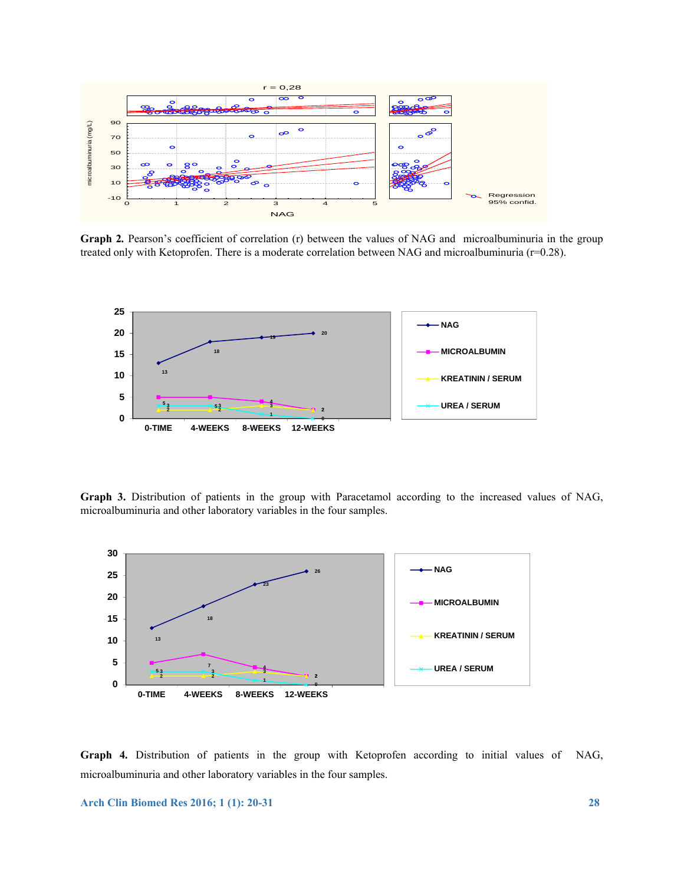

**Graph 2***.* Pearson's coefficient of correlation (r) between the values of NAG and microalbuminuria in the group treated only with Ketoprofen. There is a moderate correlation between NAG and microalbuminuria (r=0.28).



**Graph 3.** Distribution of patients in the group with Paracetamol according to the increased values of NAG, microalbuminuria and other laboratory variables in the four samples.



**Graph 4***.* Distribution of patients in the group with Ketoprofen according to initial values of NAG, microalbuminuria and other laboratory variables in the four samples.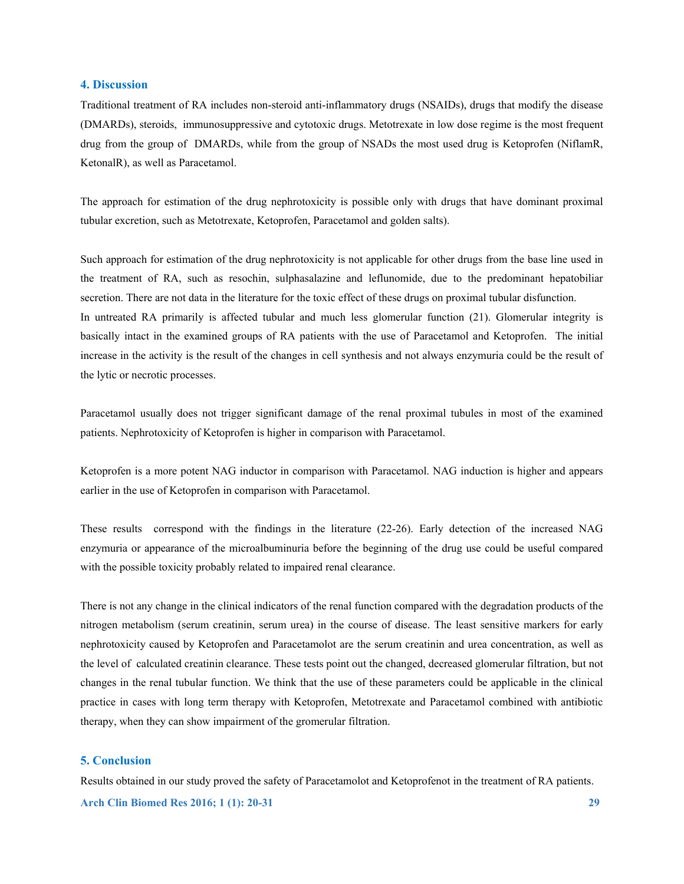# **4. Discussion**

Traditional treatment of RA includes non-steroid anti-inflammatory drugs (NSAIDs), drugs that modify the disease (DMARDs), steroids, immunosuppressive and cytotoxic drugs. Metotrexate in low dose regime is the most frequent drug from the group of DMARDs, while from the group of NSADs the most used drug is Ketoprofen (NiflamR, KetonalR), as well as Paracetamol.

The approach for estimation of the drug nephrotoxicity is possible only with drugs that have dominant proximal tubular excretion, such as Metotrexate, Ketoprofen, Paracetamol and golden salts).

Such approach for estimation of the drug nephrotoxicity is not applicable for other drugs from the base line used in the treatment of RA, such as resochin, sulphasalazine and leflunomide, due to the predominant hepatobiliar secretion. There are not data in the literature for the toxic effect of these drugs on proximal tubular disfunction. In untreated RA primarily is affected tubular and much less glomerular function (21). Glomerular integrity is basically intact in the examined groups of RA patients with the use of Paracetamol and Ketoprofen. The initial increase in the activity is the result of the changes in cell synthesis and not always enzymuria could be the result of the lytic or necrotic processes.

Paracetamol usually does not trigger significant damage of the renal proximal tubules in most of the examined patients. Nephrotoxicity of Ketoprofen is higher in comparison with Paracetamol.

Ketoprofen is a more potent NAG inductor in comparison with Paracetamol. NAG induction is higher and appears earlier in the use of Ketoprofen in comparison with Paracetamol.

These results correspond with the findings in the literature (22-26). Early detection of the increased NAG enzymuria or appearance of the microalbuminuria before the beginning of the drug use could be useful compared with the possible toxicity probably related to impaired renal clearance.

There is not any change in the clinical indicators of the renal function compared with the degradation products of the nitrogen metabolism (serum creatinin, serum urea) in the course of disease. The least sensitive markers for early nephrotoxicity caused by Ketoprofen and Paracetamolot are the serum creatinin and urea concentration, as well as the level of calculated creatinin clearance. These tests point out the changed, decreased glomerular filtration, but not changes in the renal tubular function. We think that the use of these parameters could be applicable in the clinical practice in cases with long term therapy with Ketoprofen, Metotrexate and Paracetamol combined with antibiotic therapy, when they can show impairment of the gromerular filtration.

# **5. Conclusion**

**Arch Clin Biomed Res 2016; 1 (1): 20-31 29**  Results obtained in our study proved the safety of Paracetamolot and Ketoprofenot in the treatment of RA patients.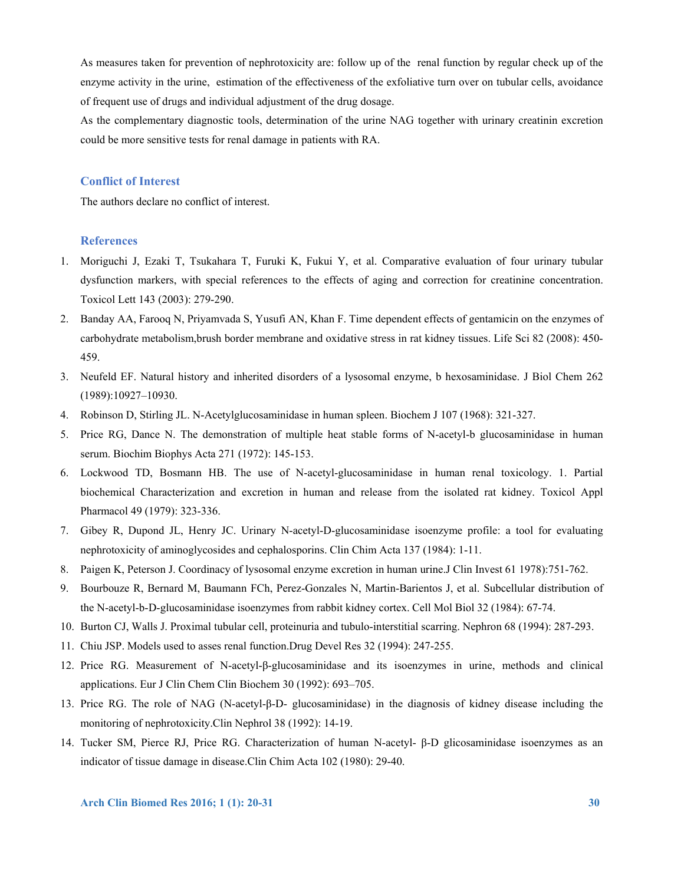As measures taken for prevention of nephrotoxicity are: follow up of the renal function by regular check up of the enzyme activity in the urine, estimation of the effectiveness of the exfoliative turn over on tubular cells, avoidance of frequent use of drugs and individual adjustment of the drug dosage.

As the complementary diagnostic tools, determination of the urine NAG together with urinary creatinin excretion could be more sensitive tests for renal damage in patients with RA.

# **Conflict of Interest**

The authors declare no conflict of interest.

# **References**

- 1. Moriguchi J, Ezaki T, Tsukahara T, Furuki K, Fukui Y, et al. Comparative evaluation of four urinary tubular dysfunction markers, with special references to the effects of aging and correction for creatinine concentration. Toxicol Lett 143 (2003): 279-290.
- 2. Banday AA, Farooq N, Priyamvada S, Yusufi AN, Khan F. Time dependent effects of gentamicin on the enzymes of carbohydrate metabolism,brush border membrane and oxidative stress in rat kidney tissues. Life Sci 82 (2008): 450- 459.
- 3. Neufeld EF. Natural history and inherited disorders of a lysosomal enzyme, b hexosaminidase. J Biol Chem 262 (1989):10927–10930.
- 4. Robinson D, Stirling JL. N-Acetylglucosaminidase in human spleen. Biochem J 107 (1968): 321-327.
- 5. Price RG, Dance N. The demonstration of multiple heat stable forms of N-acetyl-b glucosaminidase in human serum. Biochim Biophys Acta 271 (1972): 145-153.
- 6. Lockwood TD, Bosmann HB. The use of N-acetyl-glucosaminidase in human renal toxicology. 1. Partial biochemical Characterization and excretion in human and release from the isolated rat kidney. Toxicol Appl Pharmacol 49 (1979): 323-336.
- 7. Gibey R, Dupond JL, Henry JC. Urinary N-acetyl-D-glucosaminidase isoenzyme profile: a tool for evaluating nephrotoxicity of aminoglycosides and cephalosporins. Clin Chim Acta 137 (1984): 1-11.
- 8. Paigen K, Peterson J. Coordinacy of lysosomal enzyme excretion in human urine.J Clin Invest 61 1978):751-762.
- 9. Bourbouze R, Bernard M, Baumann FCh, Perez-Gonzales N, Martin-Barientos J, et al. Subcellular distribution of the N-acetyl-b-D-glucosaminidase isoenzymes from rabbit kidney cortex. Cell Mol Biol 32 (1984): 67-74.
- 10. Burton CJ, Walls J. Proximal tubular cell, proteinuria and tubulo-interstitial scarring. Nephron 68 (1994): 287-293.
- 11. Chiu JSP. Models used to asses renal function.Drug Devel Res 32 (1994): 247-255.
- 12. Price RG. Measurement of N-acetyl-β-glucosaminidase and its isoenzymes in urine, methods and clinical applications. Eur J Clin Chem Clin Biochem 30 (1992): 693–705.
- 13. Price RG. The role of NAG (N-acetyl-β-D- glucosaminidase) in the diagnosis of kidney disease including the monitoring of nephrotoxicity.Clin Nephrol 38 (1992): 14-19.
- 14. Tucker SM, Pierce RJ, Price RG. Characterization of human N-acetyl- β-D glicosaminidase isoenzymes as an indicator of tissue damage in disease.Clin Chim Acta 102 (1980): 29-40.